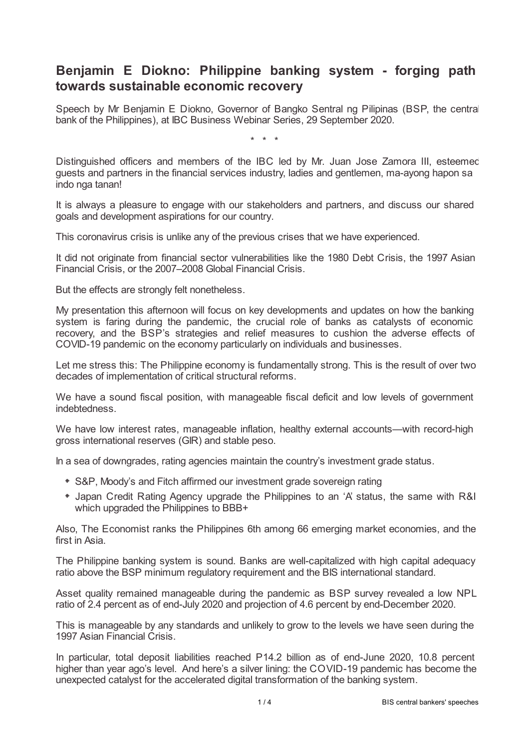## **Benjamin E Diokno: Philippine banking system - forging path towards sustainable economic recovery**

Speech by Mr Benjamin E Diokno, Governor of Bangko Sentral ng Pilipinas (BSP, the central bank of the Philippines), at IBC Business Webinar Series, 29 September 2020.

\* \* \*

Distinguished officers and members of the IBC led by Mr. Juan Jose Zamora III, esteemed guests and partners in the financial services industry, ladies and gentlemen, ma-ayong hapon sa indo nga tanan!

It is always a pleasure to engage with our stakeholders and partners, and discuss our shared goals and development aspirations for our country.

This coronavirus crisis is unlike any of the previous crises that we have experienced.

It did not originate from financial sector vulnerabilities like the 1980 Debt Crisis, the 1997 Asian Financial Crisis, or the 2007–2008 Global Financial Crisis.

But the effects are strongly felt nonetheless.

My presentation this afternoon will focus on key developments and updates on how the banking system is faring during the pandemic, the crucial role of banks as catalysts of economic recovery, and the BSP's strategies and relief measures to cushion the adverse effects of COVID-19 pandemic on the economy particularly on individuals and businesses.

Let me stress this: The Philippine economy is fundamentally strong. This is the result of over two decades of implementation of critical structural reforms.

We have a sound fiscal position, with manageable fiscal deficit and low levels of government indebtedness.

We have low interest rates, manageable inflation, healthy external accounts—with record-high gross international reserves (GIR) and stable peso.

In a sea of downgrades, rating agencies maintain the country's investment grade status.

- S&P, Moody's and Fitch affirmed our investment grade sovereign rating
- Japan Credit Rating Agency upgrade the Philippines to an 'A' status, the same with R&I which upgraded the Philippines to BBB+

Also, The Economist ranks the Philippines 6th among 66 emerging market economies, and the first in Asia.

The Philippine banking system is sound. Banks are well-capitalized with high capital adequacy ratio above the BSP minimum regulatory requirement and the BIS international standard.

Asset quality remained manageable during the pandemic as BSP survey revealed a low NPL ratio of 2.4 percent as of end-July 2020 and projection of 4.6 percent by end-December 2020.

This is manageable by any standards and unlikely to grow to the levels we have seen during the 1997 Asian Financial Crisis.

In particular, total deposit liabilities reached P14.2 billion as of end-June 2020, 10.8 percent higher than year ago's level. And here's a silver lining: the COVID-19 pandemic has become the unexpected catalyst for the accelerated digital transformation of the banking system.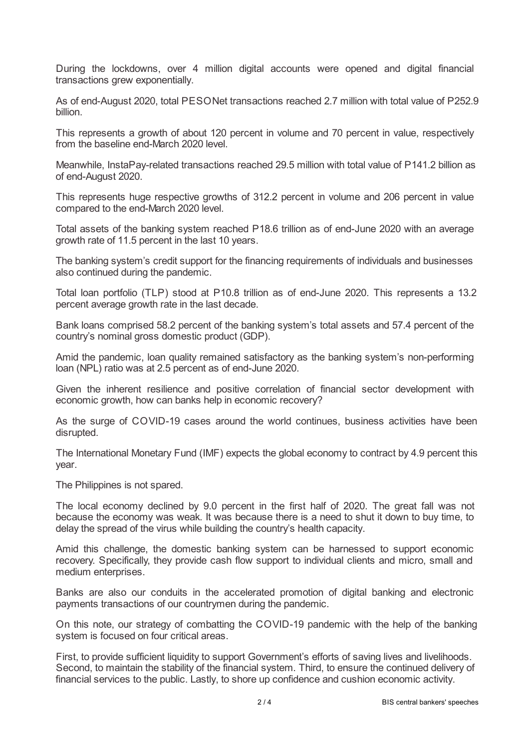During the lockdowns, over 4 million digital accounts were opened and digital financial transactions grew exponentially.

As of end-August 2020, total PESONet transactions reached 2.7 million with total value of P252.9 billion.

This represents a growth of about 120 percent in volume and 70 percent in value, respectively from the baseline end-March 2020 level.

Meanwhile, InstaPay-related transactions reached 29.5 million with total value of P141.2 billion as of end-August 2020.

This represents huge respective growths of 312.2 percent in volume and 206 percent in value compared to the end-March 2020 level.

Total assets of the banking system reached P18.6 trillion as of end-June 2020 with an average growth rate of 11.5 percent in the last 10 years.

The banking system's credit support for the financing requirements of individuals and businesses also continued during the pandemic.

Total loan portfolio (TLP) stood at P10.8 trillion as of end-June 2020. This represents a 13.2 percent average growth rate in the last decade.

Bank loans comprised 58.2 percent of the banking system's total assets and 57.4 percent of the country's nominal gross domestic product (GDP).

Amid the pandemic, loan quality remained satisfactory as the banking system's non-performing loan (NPL) ratio was at 2.5 percent as of end-June 2020.

Given the inherent resilience and positive correlation of financial sector development with economic growth, how can banks help in economic recovery?

As the surge of COVID-19 cases around the world continues, business activities have been disrupted.

The International Monetary Fund (IMF) expects the global economy to contract by 4.9 percent this year.

The Philippines is not spared.

The local economy declined by 9.0 percent in the first half of 2020. The great fall was not because the economy was weak. It was because there is a need to shut it down to buy time, to delay the spread of the virus while building the country's health capacity.

Amid this challenge, the domestic banking system can be harnessed to support economic recovery. Specifically, they provide cash flow support to individual clients and micro, small and medium enterprises.

Banks are also our conduits in the accelerated promotion of digital banking and electronic payments transactions of our countrymen during the pandemic.

On this note, our strategy of combatting the COVID-19 pandemic with the help of the banking system is focused on four critical areas.

First, to provide sufficient liquidity to support Government's efforts of saving lives and livelihoods. Second, to maintain the stability of the financial system. Third, to ensure the continued delivery of financial services to the public. Lastly, to shore up confidence and cushion economic activity.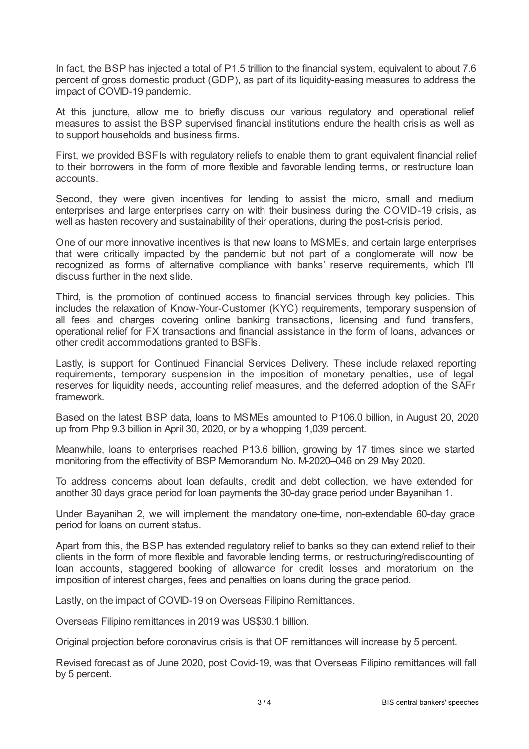In fact, the BSP has injected a total of P1.5 trillion to the financial system, equivalent to about 7.6 percent of gross domestic product (GDP), as part of its liquidity-easing measures to address the impact of COVID-19 pandemic.

At this juncture, allow me to briefly discuss our various regulatory and operational relief measures to assist the BSP supervised financial institutions endure the health crisis as well as to support households and business firms.

First, we provided BSFIs with regulatory reliefs to enable them to grant equivalent financial relief to their borrowers in the form of more flexible and favorable lending terms, or restructure loan accounts.

Second, they were given incentives for lending to assist the micro, small and medium enterprises and large enterprises carry on with their business during the COVID-19 crisis, as well as hasten recovery and sustainability of their operations, during the post-crisis period.

One of our more innovative incentives is that new loans to MSMEs, and certain large enterprises that were critically impacted by the pandemic but not part of a conglomerate will now be recognized as forms of alternative compliance with banks' reserve requirements, which I'll discuss further in the next slide.

Third, is the promotion of continued access to financial services through key policies. This includes the relaxation of Know-Your-Customer (KYC) requirements, temporary suspension of all fees and charges covering online banking transactions, licensing and fund transfers, operational relief for FX transactions and financial assistance in the form of loans, advances or other credit accommodations granted to BSFIs.

Lastly, is support for Continued Financial Services Delivery. These include relaxed reporting requirements, temporary suspension in the imposition of monetary penalties, use of legal reserves for liquidity needs, accounting relief measures, and the deferred adoption of the SAFr framework.

Based on the latest BSP data, loans to MSMEs amounted to P106.0 billion, in August 20, 2020 up from Php 9.3 billion in April 30, 2020, or by a whopping 1,039 percent.

Meanwhile, loans to enterprises reached P13.6 billion, growing by 17 times since we started monitoring from the effectivity of BSP Memorandum No. M-2020–046 on 29 May 2020.

To address concerns about loan defaults, credit and debt collection, we have extended for another 30 days grace period for loan payments the 30-day grace period under Bayanihan 1.

Under Bayanihan 2, we will implement the mandatory one-time, non-extendable 60-day grace period for loans on current status.

Apart from this, the BSP has extended regulatory relief to banks so they can extend relief to their clients in the form of more flexible and favorable lending terms, or restructuring/rediscounting of loan accounts, staggered booking of allowance for credit losses and moratorium on the imposition of interest charges, fees and penalties on loans during the grace period.

Lastly, on the impact of COVID-19 on Overseas Filipino Remittances.

Overseas Filipino remittances in 2019 was US\$30.1 billion.

Original projection before coronavirus crisis is that OF remittances will increase by 5 percent.

Revised forecast as of June 2020, post Covid-19, was that Overseas Filipino remittances will fall by 5 percent.